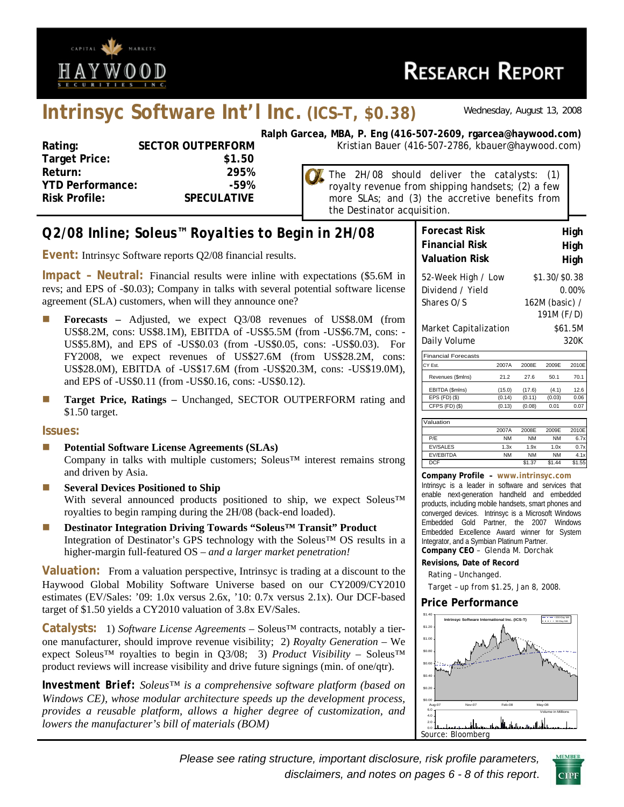

# **RESEARCH REPORT**

## **Intrinsyc Software Int'l Inc. (ICS–T, \$0.38)** *Wednesday, August 13, 2008*

| Rating:                 | <b>SECTOR OUTPERFORM</b> |
|-------------------------|--------------------------|
| <b>Target Price:</b>    | \$1.50                   |
| Return:                 | 295%                     |
| <b>YTD Performance:</b> | -59%                     |
| <b>Risk Profile:</b>    | <b>SPECULATIVE</b>       |
|                         |                          |

**Ralph Garcea, MBA, P. Eng (416-507-2609, rgarcea@haywood.com) RM** Kristian Bauer (416-507-2786, kbauer@haywood.com)

The 2H/08 should deliver the catalysts: (1) royalty revenue from shipping handsets; (2) a few more SLAs; and (3) the accretive benefits from the Destinator acquisition.

## *Q2/08 Inline; Soleus™ Royalties to Begin in 2H/08*

**Event:** Intrinsyc Software reports Q2/08 financial results.

**Impact – Neutral:** Financial results were inline with expectations (\$5.6M in revs; and EPS of -\$0.03); Company in talks with several potential software license agreement (SLA) customers, when will they announce one?

- **Forecasts** Adjusted, we expect Q3/08 revenues of US\$8.0M (from US\$8.2M, cons: US\$8.1M), EBITDA of -US\$5.5M (from -US\$6.7M, cons: - US\$5.8M), and EPS of -US\$0.03 (from -US\$0.05, cons: -US\$0.03). For FY2008, we expect revenues of US\$27.6M (from US\$28.2M, cons: US\$28.0M), EBITDA of -US\$17.6M (from -US\$20.3M, cons: -US\$19.0M), and EPS of -US\$0.11 (from -US\$0.16, cons: -US\$0.12).
- **Target Price, Ratings Unchanged, SECTOR OUTPERFORM rating and** \$1.50 target.

#### **Issues:**

- **Potential Software License Agreements (SLAs)**  Company in talks with multiple customers; Soleus™ interest remains strong and driven by Asia.
- **Several Devices Positioned to Ship** With several announced products positioned to ship, we expect Soleus™ royalties to begin ramping during the 2H/08 (back-end loaded).
- **Destinator Integration Driving Towards "Soleus™ Transit" Product**  Integration of Destinator's GPS technology with the Soleus™ OS results in a higher-margin full-featured OS – *and a larger market penetration!*

**Valuation:** From a valuation perspective, Intrinsyc is trading at a discount to the Haywood Global Mobility Software Universe based on our CY2009/CY2010 estimates (EV/Sales: '09: 1.0x versus 2.6x, '10: 0.7x versus 2.1x). Our DCF-based target of \$1.50 yields a CY2010 valuation of 3.8x EV/Sales.

**Catalysts:** 1) *Software License Agreements* – Soleus™ contracts, notably a tierone manufacturer, should improve revenue visibility; 2) *Royalty Generation* – We expect Soleus™ royalties to begin in Q3/08; 3) *Product Visibility* – Soleus™ product reviews will increase visibility and drive future signings (min. of one/qtr).

*Investment Brief: Soleus™ is a comprehensive software platform (based on Windows CE), whose modular architecture speeds up the development process, provides a reusable platform, allows a higher degree of customization, and lowers the manufacturer's bill of materials (BOM)* 

| <b>Forecast Risk</b>  | High           |
|-----------------------|----------------|
| <b>Financial Risk</b> | High           |
| <b>Valuation Risk</b> | High           |
| 52-Week High / Low    | \$1.30/\$0.38  |
| Dividend / Yield      | 0.00%          |
| Shares O/S            | 162M (basic) / |
|                       | 191M (F/D)     |
| Market Capitalization | \$61.5M        |
| Daily Volume          | 320K           |

| <b>DUIT, TUIMITIU</b>      |        |        |        | ----  |
|----------------------------|--------|--------|--------|-------|
| <b>Financial Forecasts</b> |        |        |        |       |
| CY Est.                    | 2007A  | 2008F  | 2009F  | 2010E |
| Revenues (\$mlns)          | 21.2   | 27.6   | 50.1   | 70.1  |
| EBITDA (\$mlns)            | (15.0) | (17.6) | (4.1)  | 12.6  |
| $EPS$ (FD) $(S)$           | (0.14) | (0.11) | (0.03) | 0.06  |
| CFPS (FD) (\$)             | (0.13) | (0.08) | 0.01   | 0.07  |
|                            |        |        |        |       |
| Valuation                  |        |        |        |       |
|                            | 2007A  | 2008F  | 2009F  | 2010E |

|                 | 2007A     | 2008F     | 2009E     | 2010E  |
|-----------------|-----------|-----------|-----------|--------|
| P/F             | NM        | <b>NM</b> | <b>NM</b> | 6.7x   |
| <b>EV/SALES</b> | 1.3x      | 1.9x      | 1.0x      | 0.7x   |
| EV/EBITDA       | <b>NM</b> | <b>NM</b> | <b>NM</b> | 4.1x   |
| <b>DCF</b>      |           | \$1.37    | \$1.44    | \$1.55 |

#### **Company Profile – www.intrinsyc.com**

Intrinsyc is a leader in software and services that enable next-generation handheld and embedded products, including mobile handsets, smart phones and converged devices. Intrinsyc is a Microsoft Windows Embedded Gold Partner, the 2007 Windows Embedded Excellence Award winner for System Integrator, and a Symbian Platinum Partner. **Company CEO** – Glenda M. Dorchak

#### **Revisions, Date of Record**

- Rating Unchanged.
- Target up from \$1.25, Jan 8, 2008.

#### **Price Performance**



*Please see rating structure, important disclosure, risk profile parameters, disclaimers, and notes on pages 6 - 8 of this report*.

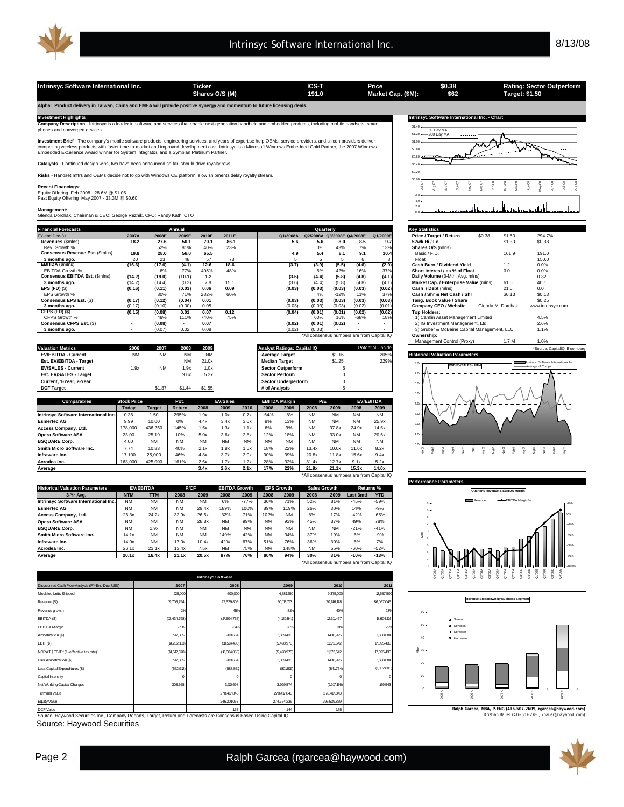| Intrinsyc Software International Inc.                                                                                                                                                                                                                                                                                                                                                                                             |                    |               |                | <b>Ticker</b>  |                 |      |                       |                                    | ICS-T                      |               |                  | Price                                      |                            | \$0.38                                                    |                   | Target: \$1.50 | <b>Rating: Sector Outperform</b>     |
|-----------------------------------------------------------------------------------------------------------------------------------------------------------------------------------------------------------------------------------------------------------------------------------------------------------------------------------------------------------------------------------------------------------------------------------|--------------------|---------------|----------------|----------------|-----------------|------|-----------------------|------------------------------------|----------------------------|---------------|------------------|--------------------------------------------|----------------------------|-----------------------------------------------------------|-------------------|----------------|--------------------------------------|
|                                                                                                                                                                                                                                                                                                                                                                                                                                   |                    |               |                | Shares O/S (M) |                 |      |                       |                                    | 191.0                      |               |                  | Market Cap. (\$M):                         |                            | \$62                                                      |                   |                |                                      |
| Alpha: Product delivery in Taiwan, China and EMEA will provide positive synergy and momentum to future licensing deals.                                                                                                                                                                                                                                                                                                           |                    |               |                |                |                 |      |                       |                                    |                            |               |                  |                                            |                            |                                                           |                   |                |                                      |
| <b>Investment Highlights</b>                                                                                                                                                                                                                                                                                                                                                                                                      |                    |               |                |                |                 |      |                       |                                    |                            |               |                  |                                            |                            | Intrinsyc Software International Inc. - Chart             |                   |                |                                      |
| Company Description - Intrinsyc is a leader in software and services that enable next-generation handheld and embedded products, including mobile handsets, smart<br>phones and converged devices.                                                                                                                                                                                                                                |                    |               |                |                |                 |      |                       |                                    |                            |               |                  |                                            | \$1.40<br>\$1.20           | 50 Day MA<br>200 Day MA<br>1.1.1.1                        |                   |                |                                      |
| Investment Brief - The company's mobile software products, engineering services, and years of expertise help OEMs, service providers, and silicon providers deliver<br>compelling wireless products with faster time-to-market and improved development cost. Intrinsyc is a Microsoft Windows Embedded Gold Partner, the 2007 Windows<br>Embedded Excellence Award winner for System Integrator, and a Symbian Platinum Partner. |                    |               |                |                |                 |      |                       |                                    |                            |               |                  |                                            | \$1.00<br>\$0.80<br>\$0.60 |                                                           |                   |                |                                      |
| Catalysts - Continued design wins, two have been announced so far, should drive royalty revs.                                                                                                                                                                                                                                                                                                                                     |                    |               |                |                |                 |      |                       |                                    |                            |               |                  |                                            | \$0.40                     |                                                           |                   |                |                                      |
| Risks - Handset mftrs and OEMs decide not to go with Windows CE platform; slow shipments delay royalty stream.                                                                                                                                                                                                                                                                                                                    |                    |               |                |                |                 |      |                       |                                    |                            |               |                  |                                            | \$0.20<br>\$0.00           |                                                           |                   |                |                                      |
| <b>Recent Financings:</b><br>Equity Offering Feb 2008 - 28.6M @ \$1.05<br>Past Equity Offering May 2007 - 33.3M @ \$0.60                                                                                                                                                                                                                                                                                                          |                    |               |                |                |                 |      |                       |                                    |                            |               |                  |                                            | 6.0<br>40                  |                                                           |                   |                |                                      |
| Management:<br>Glenda Dorchak, Chairman & CEO; George Reznik, CFO; Randy Kath, CTO                                                                                                                                                                                                                                                                                                                                                |                    |               |                |                |                 |      |                       |                                    |                            |               |                  |                                            | 20<br>6 C                  |                                                           |                   |                |                                      |
| <b>Financial Forecasts</b>                                                                                                                                                                                                                                                                                                                                                                                                        |                    |               | Annual         |                |                 |      |                       |                                    | Quarterly                  |               |                  |                                            |                            | <b>Key Statistics</b>                                     |                   |                |                                      |
| FY-end Dec-31                                                                                                                                                                                                                                                                                                                                                                                                                     | 2007A              | 2008E         | 2009E          | 2010E          | 2011E           |      |                       | Q1/2008A                           | Q2/2008A Q3/2008E Q4/2008E |               |                  | Q1/2009E                                   |                            | Price / Target / Return                                   | \$0.38            | \$1.50         | 294.7%                               |
| Revenues (\$mins)                                                                                                                                                                                                                                                                                                                                                                                                                 | 18.2               | 27.6          | 50.1           | 70.1           | 86.1            |      |                       | 5.6                                | 5.6                        | 8.0           | 8.5              | 9.7                                        |                            | 52wk Hi / Lo                                              |                   | \$1.30         | \$0.38                               |
| Rev. Growth %                                                                                                                                                                                                                                                                                                                                                                                                                     |                    | 52%           | 81%            | 40%            | 23%             |      |                       |                                    | 0%                         | 43%           | 7%               | 13%                                        |                            | Shares O/S (mlns)                                         |                   |                |                                      |
| Consensus Revenue Est. (\$mins)                                                                                                                                                                                                                                                                                                                                                                                                   | 19.8               | 28.0          | 56.0           | 65.5           |                 |      |                       | 4.9                                | 5.4                        | 8.1           | 9.1              | 10.4                                       |                            | Basic / F.D.                                              |                   | 161.9          | 191.0                                |
| 3 months ago.<br><b>EBITDA</b> (\$mins)                                                                                                                                                                                                                                                                                                                                                                                           | 20<br>(16.6)       | 23<br>(17.6)  | 48<br>(4.1)    | 57<br>12.6     | 73<br>18.6      |      |                       | 5<br>(3.7)                         | 5<br>(3.9)                 | 5<br>(5.5)    | 6<br>(4.6)       | 8<br>(2.9)                                 | Float                      | Cash Burn / Dividend Yield                                |                   | 1.2            | 150.0<br>0.0%                        |
| <b>EBITDA Growth %</b>                                                                                                                                                                                                                                                                                                                                                                                                            |                    | $-6%$         | 77%            | 405%           | 48%             |      |                       |                                    | $-5%$                      | $-42%$        | 16%              | 37%                                        |                            | Short Interest / as % of Float                            |                   | 0.0            | 0.0%                                 |
| Consensus EBITDA Est. (\$mins)                                                                                                                                                                                                                                                                                                                                                                                                    | (14.2)             | (19.0)        | (10.1)         | 1.2            |                 |      |                       | (3.6)                              | (4.4)                      | (5.8)         | (4.8)            | (4.1)                                      |                            | Daily Volume (3-Mth. Avg. mlns)                           |                   |                | 0.32                                 |
| 3 months ago.                                                                                                                                                                                                                                                                                                                                                                                                                     | (14.2)             | (14.4)        | (0.3)          | 7.8            | 15.1            |      |                       | (3.6)                              | (4.4)                      | (5.8)         | (4.8)            | (4.1)                                      |                            | Market Cap. / Enterprise Value (mlns)                     |                   | 61.5           | 40.1                                 |
| $EPS$ (FD) $(S)$                                                                                                                                                                                                                                                                                                                                                                                                                  | (0.16)             | (0.11)        | (0.03)         | 0.06           | 0.09            |      |                       | (0.03)                             | (0.03)                     | (0.03)        | (0.03)           | (0.02)                                     |                            | Cash / Debt (mlns)                                        |                   | 21.5           | 0.0                                  |
| EPS Growth %                                                                                                                                                                                                                                                                                                                                                                                                                      |                    | 30%           | 71%            | 282%           | 60%             |      |                       |                                    | 4%                         | $-12%$        | 11%              | 37%                                        |                            | Cash / Shr & Net Cash / Shr                               |                   | \$0.13         | \$0.13                               |
| Consensus EPS Est. (\$)                                                                                                                                                                                                                                                                                                                                                                                                           | (0.17)             | (0.12)        | (0.04)         | 0.01           |                 |      |                       | (0.03)                             | (0.03)                     | (0.03)        | (0.03)           | (0.03)                                     |                            | Tang. Book Value / Share                                  |                   |                | \$0.25                               |
| 3 months ago.                                                                                                                                                                                                                                                                                                                                                                                                                     | (0.17)             | (0.10)        | (0.00)         | 0.05           |                 |      |                       | (0.03)                             | (0.03)                     | (0.03)        | (0.02)           | (0.01)                                     |                            | Company CEO / Website                                     | Glenda M. Dorchak |                | www.intrinsyc.com                    |
| CFPS (FD) (\$)<br>CFPS Growth %                                                                                                                                                                                                                                                                                                                                                                                                   | (0.15)             | (0.08)<br>48% | 0.01<br>111%   | 0.07<br>740%   | 0.12<br>75%     |      |                       | (0.04)                             | (0.01)<br>60%              | (0.01)<br>16% | (0.02)<br>$-68%$ | (0.02)<br>18%                              |                            | <b>Top Holders:</b><br>1) Camlin Asset Management Limited |                   |                | 4.5%                                 |
| Consensus CFPS Est. (\$)                                                                                                                                                                                                                                                                                                                                                                                                          | ÷,                 | (0.08)        | $\blacksquare$ | 0.07           |                 |      |                       | (0.02)                             | (0.01)                     | (0.02)        | $\blacksquare$   |                                            |                            | 2) IG Investment Management, Ltd.                         |                   |                | 2.6%                                 |
| 3 months ago.                                                                                                                                                                                                                                                                                                                                                                                                                     |                    | (0.07)        | 0.02           | 0.08           |                 |      |                       | (0.02)                             | (0.03)                     |               |                  |                                            |                            | 3) Gruber & McBaine Capital Management, LLC               |                   |                | 1.1%                                 |
|                                                                                                                                                                                                                                                                                                                                                                                                                                   |                    |               |                |                |                 |      |                       |                                    |                            |               |                  | *All consensus numbers are from Capital IQ |                            | Ownership:                                                |                   |                |                                      |
|                                                                                                                                                                                                                                                                                                                                                                                                                                   |                    |               |                |                |                 |      |                       |                                    |                            |               |                  |                                            |                            | Management Control (Proxy)                                |                   | 1.7 M          | 1.0%                                 |
| <b>Valuation Metrics</b>                                                                                                                                                                                                                                                                                                                                                                                                          | 2006               | 2007          | 2008           | 2009           |                 |      |                       | <b>Analyst Ratings: Capital IQ</b> |                            |               |                  | <b>Potential Upside</b>                    |                            |                                                           |                   |                | *Source: CapitalIQ, Bloombero        |
| <b>EV/EBITDA - Current</b>                                                                                                                                                                                                                                                                                                                                                                                                        | <b>NM</b>          | <b>NM</b>     | <b>NM</b>      | <b>NM</b>      |                 |      | <b>Average Target</b> |                                    |                            | \$1.16        |                  | 205%                                       |                            | <b>Historical Valuation Parameters</b>                    |                   |                |                                      |
| Est. EV/EBITDA - Target                                                                                                                                                                                                                                                                                                                                                                                                           |                    |               | <b>NM</b>      | 21.0x          |                 |      | <b>Median Target</b>  |                                    |                            | \$1.25        |                  | 229%                                       | 8.01                       |                                                           |                   |                | Intrinsyc Software International Inc |
| <b>EV/SALES - Current</b>                                                                                                                                                                                                                                                                                                                                                                                                         | 1.9x               | <b>NM</b>     | 1.9x           | 1.0x           |                 |      |                       | <b>Sector Outperform</b>           |                            | 5             |                  |                                            |                            | FWD EV/SALES - NTM                                        |                   |                | Average of Comps                     |
| Est. EV/SALES - Target                                                                                                                                                                                                                                                                                                                                                                                                            |                    |               | 9.6x           | 5.3x           |                 |      | <b>Sector Perform</b> |                                    |                            | $\Omega$      |                  |                                            | 70x                        |                                                           |                   |                |                                      |
| Current, 1-Year, 2-Year                                                                                                                                                                                                                                                                                                                                                                                                           |                    |               |                |                |                 |      |                       | <b>Sector Underperform</b>         |                            | $\Omega$      |                  |                                            | 6.01                       |                                                           |                   |                |                                      |
| <b>DCF Target</b>                                                                                                                                                                                                                                                                                                                                                                                                                 |                    | \$1.37        | \$1.44         | \$1.55         |                 |      | # of Analysts         |                                    |                            | 5             |                  |                                            | 5.0x                       |                                                           |                   |                |                                      |
| Comparables                                                                                                                                                                                                                                                                                                                                                                                                                       | <b>Stock Price</b> |               | Pot.           |                | <b>EV/Sales</b> |      |                       | <b>EBITDA Margin</b>               | P/E                        |               |                  | <b>EV/EBITDA</b>                           | 40 <sub>0</sub>            |                                                           |                   |                |                                      |
|                                                                                                                                                                                                                                                                                                                                                                                                                                   | Today              | <b>Target</b> | Return         | 2008           | 2009            | 2010 | 2008                  | 2009                               | 2008                       | 2009          | 2008             | 2009                                       |                            |                                                           |                   |                |                                      |
| Intrinsyc Software International Inc.                                                                                                                                                                                                                                                                                                                                                                                             | 0.38               | 1.50          | 295%           | 1.9x           | 1.0x            | 0.7x | $-64%$                | $-8%$                              | <b>NM</b>                  | <b>NM</b>     | <b>NM</b>        | <b>NM</b>                                  | 3.01                       |                                                           |                   |                |                                      |
| <b>Esmertec AG</b>                                                                                                                                                                                                                                                                                                                                                                                                                | 9.99               | 10.00         | 0%             | 4.4x           | 3.4x            | 3.0x | 9%                    | 13%                                | <b>NM</b>                  | <b>NM</b>     | <b>NM</b>        | 25.9x                                      |                            |                                                           |                   |                |                                      |
|                                                                                                                                                                                                                                                                                                                                                                                                                                   |                    |               |                |                |                 |      |                       |                                    |                            |               |                  |                                            | 2.0x                       |                                                           |                   |                |                                      |

**Access Company, Ltd.** 178,000 436,250 145% 1.5x 1.3x 1.1x 6% 9% NM 37.8x 24.9x 14.6x **Opera Software ASA** 23.00 25.19 10% 5.0x 3.6x 2.8x 12% 18% NM 33.0x NM 20.6x **BSQUARE Corp.** 4.00 NM NM NM NM NM NM NM NM NM NM NM **Smith Micro Software Inc.** 7.74 10.83 40% 2.1x 1.8x 1.6x 1.8% 22% 13.4x 10.0x 11.6x 8.2x<br>**11.4x 11.8x 11.8x 11.8x 11.8x 1.6x** 1.7,100 25,000 46% 4.8x 3.7x 3.0x 30% 39% 20.8x 11.8x 1.5.6x 9.4x **Infraware Inc.** | 17,100 | 25,000 | 46% | 4.8x 3.7x 3.0x | 30% 39% | 20.8x 11.8x | 15.6x 9.4x **Acrodea Inc.** | 163,000 | 425,000 | 161% | 2.6x 1.7x 1.2x | 28% 32% | 31.4x 12.7x | 9.1x 5.2x **Average 2.4x 2.6x 2.1x 17% 22% 21.9x 21.1x 15.3x 14.0x**<br><sup>2</sup> All consensus numbers are from Canital IO \*All consensus numbers are from Capital IQ **Historical Valuation Parameters 3-Yr Avg. NTM TTM 2008 2009 2008 2009 2008 2009 2008 2009 Last 3mth YTD EV/EBITDA P/CF EBITDA Growth Sales Growth Returns % EPS Growth Intrinsyc Software International Inc.** NM NM NM NM NM 6% -77% 30% 71% 52% 81% -45% -59% **Esmertec AG** NM NM NM 29.4x 189% 100% 89% 119% 26% 30% 14% -9% **Access Company, Ltd.** 26.3x 24.2x 32.9x 26.5x -32% 71% 102% NM 8% 17% -42% -65%

| Intrinsvc Software International Inc. | <b>NM</b> | <b>NM</b> | <b>NM</b> | <b>NM</b> | 6%        | $-77%$    | 30%       | 71%       | 52%       | 81%       | $-45%$ | $-59%$                                     |  |
|---------------------------------------|-----------|-----------|-----------|-----------|-----------|-----------|-----------|-----------|-----------|-----------|--------|--------------------------------------------|--|
| <b>Esmertec AG</b>                    | <b>NM</b> | <b>NM</b> | <b>NM</b> | 29.4x     | 189%      | 100%      | 89%       | 119%      | 26%       | 30%       | 14%    | $-9%$                                      |  |
| Access Company, Ltd.                  | 26.3x     | 24.2x     | 32.9x     | 26.5x     | $-32%$    | 71%       | 102%      | <b>NM</b> | 8%        | 17%       | $-42%$ | $-65%$                                     |  |
| Opera Software ASA                    | <b>NM</b> | <b>NM</b> | <b>NM</b> | 28.8x     | <b>NM</b> | 99%       | <b>NM</b> | 93%       | 45%       | 37%       | 49%    | 78%                                        |  |
| <b>BSQUARE Corp.</b>                  | <b>NM</b> | 1.9x      | <b>NM</b> | <b>NM</b> | <b>NM</b> | <b>NM</b> | <b>NM</b> | <b>NM</b> | <b>NM</b> | <b>NM</b> | $-21%$ | $-41%$                                     |  |
| Smith Micro Software Inc.             | 14.1x     | <b>NM</b> | <b>NM</b> | <b>NM</b> | 149%      | 42%       | <b>NM</b> | 34%       | 37%       | 19%       | $-6%$  | $-9%$                                      |  |
| Infraware Inc.                        | 14.0x     | <b>NM</b> | 17.0x     | 10.4x     | 42%       | 67%       | 51%       | 76%       | 36%       | 30%       | $-6%$  | 7%                                         |  |
| Acrodea Inc.                          | 26.1x     | 23.1x     | 13.4x     | 7.5x      | <b>NM</b> | 75%       | <b>NM</b> | 148%      | <b>NM</b> | 55%       | $-60%$ | $-52%$                                     |  |
| Average                               | 20.1x     | 16.4x     | 21.1x     | 20.5x     | 87%       | 76%       | 80%       | 94%       | 30%       | 31%       | $-10%$ | $-13%$                                     |  |
|                                       |           |           |           |           |           |           |           |           |           |           |        | *All consensus numbers are from Capital IQ |  |

Discounted Cash Flow Analysis (FY-End Dec, US\$) Modeled Units Shipped 12,687,500 12,687,500 12,687,500 12,687,500 12,687,500 12,687,500 12,687,500 12,687,500 1 venue (\$) wenue gro EBITDA (\$) .<br>EBITDA Margin mortization (\$) EBIT (\$) NOPAT [ EBIT \* (1 - effective tax rate) ] Plus Amortization (\$) Less Capital Expenditures (\$) Capital Intensity **Net Working Capital Cha** minal Value Equity Value DCF Value 246,2010 2% 45% -70% -64% **Intrinsyc Software 2010 2011** 27,629,806 19,705,794 **2007 2008 2009** 70,1 50,113,713 86,067,046 46,178 3,929,574 (801,819) (841,754) (14,512,370) (18,664,055) (18,664,055) (5,498,973) 11,172,542 (562,912) (888,86 81% 40% 23% 18,604,114 -8% 18% 22% (13,434,798) (17,604,765) (4,129,541) 12,611,467 1,508,684 (14,232,183) (18,514,430) (5,498,973) 1,172,542 1,095,430 1,095,430 797,385 909,664 1 1 38,925 1 438,925 1 438,925 1 4 1 1 1 1 4 38,925 1 4 1 1 1 1 4 38,925 1 1 1 1 1 1  $\frac{1}{3}$  17,095,430 909,664 797,385 1 1 ,369,433 1 ,438,925 ,508,684 169,543 (1,032,805) 0 0 0 0 0 3,029,574 (1,917,176) 3,029,574 (1,917,176) **137 | 138 | 144 | 155 | 156 | 157 | 158 | 159 | 159 | 159 | 159 | 159 | 159 | 159 | 159 | 159 | 159 | 159 | 1** 278,417,843 278,417,843 278,417,843 274,754,236 296,539,879

urce: Haywood Securities Inc., Company Reports, Target, Return and Forecasts are Consensus Based Using Capital IQ.

Source: Haywood Securities

**Performan** 

 $\ddot{\mathbf{0}}$  $1.0$ 

Nov04 Feb05 May05 i<br>P<br>Voq

Mlns



Q4/05A Q1/06A Q2/06A Q3/06A Q4/06A Q1/07A Q2/07A Q3/07A Q4/07A Q1/08A Q2/08A Q3/08E Q4/08E Q1/09E Q2/09E Q3/09E Q4/09E

**Quarterly Revenue & EBITDA Margin** 

Revenue **EBITDA** Margin %

Feb08<br>August 2007<br>Nov07 August 2007

Kristian Bauer (416-507-2786, kbauer@haywood.com) **Ralph Garcea, MBA, P.ENG (416-507-2609, rgarcea@haywood.com)**



-100% -80% -60% -40% -20% 0%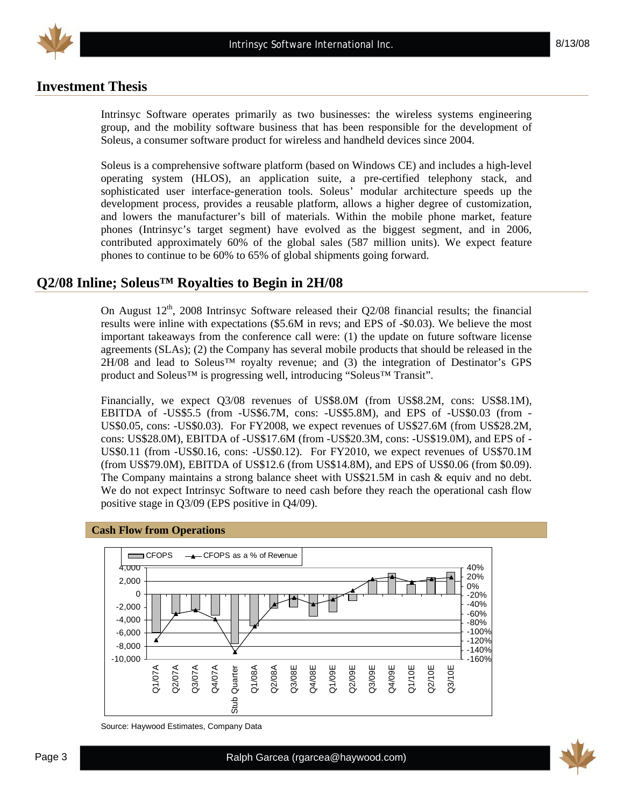

## **Investment Thesis**

Intrinsyc Software operates primarily as two businesses: the wireless systems engineering group, and the mobility software business that has been responsible for the development of Soleus, a consumer software product for wireless and handheld devices since 2004.

Soleus is a comprehensive software platform (based on Windows CE) and includes a high-level operating system (HLOS), an application suite, a pre-certified telephony stack, and sophisticated user interface-generation tools. Soleus' modular architecture speeds up the development process, provides a reusable platform, allows a higher degree of customization, and lowers the manufacturer's bill of materials. Within the mobile phone market, feature phones (Intrinsyc's target segment) have evolved as the biggest segment, and in 2006, contributed approximately 60% of the global sales (587 million units). We expect feature phones to continue to be 60% to 65% of global shipments going forward.

### **Q2/08 Inline; Soleus™ Royalties to Begin in 2H/08**

On August  $12<sup>th</sup>$ , 2008 Intrinsyc Software released their Q2/08 financial results; the financial results were inline with expectations (\$5.6M in revs; and EPS of -\$0.03). We believe the most important takeaways from the conference call were: (1) the update on future software license agreements (SLAs); (2) the Company has several mobile products that should be released in the  $2H/08$  and lead to Soleus<sup>TM</sup> royalty revenue; and (3) the integration of Destinator's GPS product and Soleus™ is progressing well, introducing "Soleus™ Transit".

Financially, we expect Q3/08 revenues of US\$8.0M (from US\$8.2M, cons: US\$8.1M), EBITDA of -US\$5.5 (from -US\$6.7M, cons: -US\$5.8M), and EPS of -US\$0.03 (from - US\$0.05, cons: -US\$0.03). For FY2008, we expect revenues of US\$27.6M (from US\$28.2M, cons: US\$28.0M), EBITDA of -US\$17.6M (from -US\$20.3M, cons: -US\$19.0M), and EPS of - US\$0.11 (from -US\$0.16, cons: -US\$0.12). For FY2010, we expect revenues of US\$70.1M (from US\$79.0M), EBITDA of US\$12.6 (from US\$14.8M), and EPS of US\$0.06 (from \$0.09). The Company maintains a strong balance sheet with US\$21.5M in cash & equiv and no debt. We do not expect Intrinsyc Software to need cash before they reach the operational cash flow positive stage in Q3/09 (EPS positive in Q4/09).



#### **Cash Flow from Operations**

Source: Haywood Estimates, Company Data

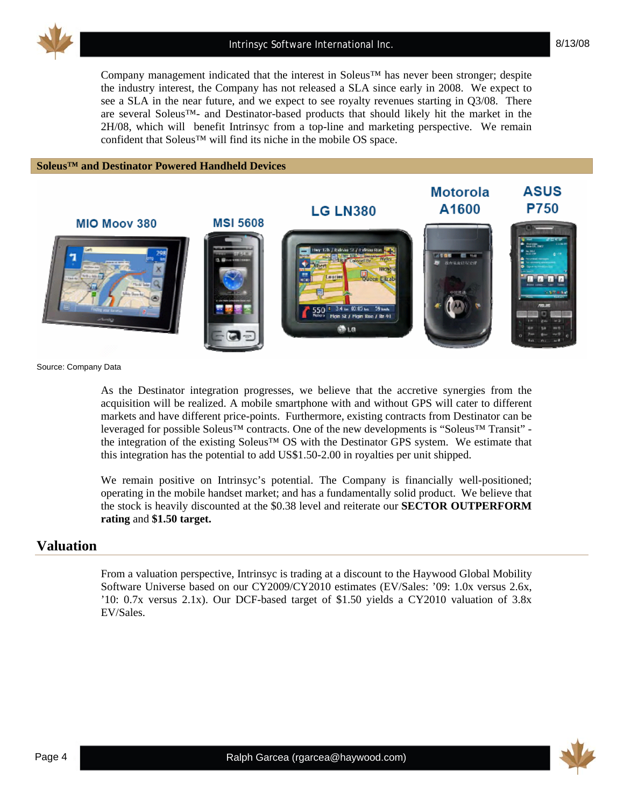

Company management indicated that the interest in Soleus™ has never been stronger; despite the industry interest, the Company has not released a SLA since early in 2008. We expect to see a SLA in the near future, and we expect to see royalty revenues starting in Q3/08. There are several Soleus™- and Destinator-based products that should likely hit the market in the 2H/08, which will benefit Intrinsyc from a top-line and marketing perspective. We remain confident that Soleus™ will find its niche in the mobile OS space.

#### **Soleus™ and Destinator Powered Handheld Devices**



Source: Company Data

As the Destinator integration progresses, we believe that the accretive synergies from the acquisition will be realized. A mobile smartphone with and without GPS will cater to different markets and have different price-points. Furthermore, existing contracts from Destinator can be leveraged for possible Soleus™ contracts. One of the new developments is "Soleus™ Transit" the integration of the existing Soleus™ OS with the Destinator GPS system. We estimate that this integration has the potential to add US\$1.50-2.00 in royalties per unit shipped.

We remain positive on Intrinsyc's potential. The Company is financially well-positioned; operating in the mobile handset market; and has a fundamentally solid product. We believe that the stock is heavily discounted at the \$0.38 level and reiterate our **SECTOR OUTPERFORM rating** and **\$1.50 target.**

### **Valuation**

From a valuation perspective, Intrinsyc is trading at a discount to the Haywood Global Mobility Software Universe based on our CY2009/CY2010 estimates (EV/Sales: '09: 1.0x versus 2.6x, '10: 0.7x versus 2.1x). Our DCF-based target of \$1.50 yields a CY2010 valuation of 3.8x EV/Sales.

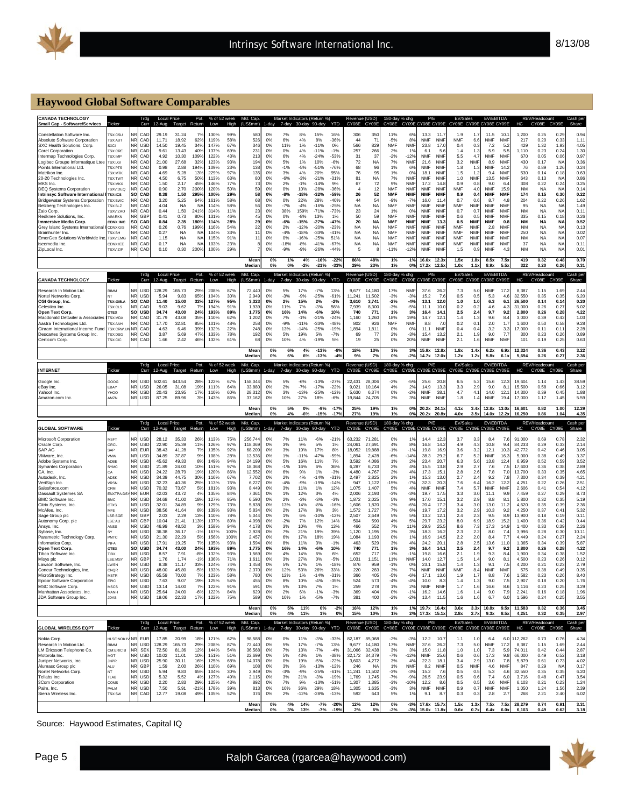

#### **Haywood Global Software Comparables**

| <b>CANADA TECHNOLOGY</b><br><b>Small Cap - Software/Services</b>           | Ticker                           | Trda<br>Curr                                | <b>Local Price</b><br>12-Aug | Target                 | Pot.<br>Return        | % of 52 week<br>Low | High        | Mkt. Cap.<br>(US\$mm) | 1-day       | 7-day           | Market Indicators (Return %)<br>30-day | 90-day                                 | YTD               | Revenue (USD)<br>CY08E | CY09E                  | 180-day % chg<br>CY08E   |                          | P/E<br>CY09E CY08E CY09E       |                          | EV/Sales<br>CY08E CY09E CY08E CY09E |                          |                                | EV/EBITDA                | нc               | REV/Headcount<br>CY08E | CY09E             | Cash pe<br>Share                                                     |
|----------------------------------------------------------------------------|----------------------------------|---------------------------------------------|------------------------------|------------------------|-----------------------|---------------------|-------------|-----------------------|-------------|-----------------|----------------------------------------|----------------------------------------|-------------------|------------------------|------------------------|--------------------------|--------------------------|--------------------------------|--------------------------|-------------------------------------|--------------------------|--------------------------------|--------------------------|------------------|------------------------|-------------------|----------------------------------------------------------------------|
| Constellation Software Inc.                                                | <b>SX:CSU</b>                    | CAD                                         | 29.19                        | 31.24                  |                       | 130%                | 99%         | 58                    | 0%          | 7%              | 8%                                     | 15%                                    | 16%               | 306                    | 35 <sub>0</sub>        | 11%                      | 6%                       | 13.3                           | 11.                      | 1.9                                 | 1.7                      | 11.5                           | 10.1                     | 1.200            | 0.25                   | 0.29              | 0.94                                                                 |
| Absolute Software Corporation<br>SXC Health Solutions, Corp.               | <b>SX:ABT</b><br><b>SXCI</b>     | <b>NR</b><br>CAL<br>USI                     | 11.71<br>14.50               | 18.92<br>19.45         | 62%<br>349            | 119%<br>147%        | 58%<br>67%  | 526<br>34             | 0%<br>0%    | 6%<br>11%       | 4%<br>1%                               | 8%<br>$-11%$                           | $-36%$<br>0%      | 44<br>566              | -7<br>829              | $-5%$<br><b>NMF</b>      | 8%<br><b>NM</b>          | <b>NMF</b><br>23.8             | <b>NMF</b><br>17.1       | <b>NMF</b><br>0.4                   | 6.6<br>0.3               | <b>NMF</b><br>7.2              | <b>NMF</b><br>5.2        | 217<br>429       | 0.20<br>1.32           | 0.33<br>1.93      | 1.11<br>4.05                                                         |
| <b>Corel Corporation</b><br>Intermap Technologies Corp.                    | <b>SX:CRE</b><br><b>TSX:IMP</b>  | CAD<br>٧R<br>CAD                            | 9.61<br>4.92                 | 13.43<br>10.30         | 40%<br>109%           | 137%<br>122%        | 69%<br>43%  | 231<br>21:            | 0%<br>0%    | 0%<br>6%        | 4%<br>4%                               | $-11%$<br>$-24%$                       | $-1%$<br>$-53%$   | 257<br>31              | 266<br>-37             | 2%<br>$-2%$              | 1%<br>$-12%$             | 6.1<br><b>NMF</b>              | 5.6<br><b>NMF</b>        | 1.4<br>5.5                          | 1.<br>4.7                | 5.9<br><b>NMF</b>              | 5.5<br><b>NMF</b>        | 1,110<br>670     | 0.23<br>0.05           | 0.24<br>0.06      | 1.30<br>0.97                                                         |
| Logibec Groupe Informatique Lter                                           | <b>TSX:LGI</b>                   | NR<br>CAD                                   | 21.00                        | 27.68                  | 32%                   | 123%                | 93%         | $19-$                 | 0%          | 5%              | 1%                                     | 10%                                    | $-6%$             | 72                     | NA                     | 7%                       | <b>NMF</b>               | 21.6                           | <b>NMF</b>               | 3.2                                 | <b>NMF</b>               | 8.9                            | <b>NMF</b>               | 430              | 0.17                   | NA                | 0.36                                                                 |
| Points International Ltd<br>Matrikon Inc.                                  | <b>CSX-PTS</b><br><b>SX:MTK</b>  | CAD<br>ΝR<br>JR<br>CA                       | 0.98<br>4.69                 | 2.88<br>5.28           | 194%<br>13%           | 109%<br>229%        | 23%<br>97%  | 138<br>135            | 0%<br>0%    | $-1%$<br>3%     | $-5%$<br>4%                            | $-51%$<br>20%                          | $-76%$<br>95%     | 68<br>76               | 96<br>95               | 1%<br>1%                 | 6%<br>0%                 | <b>NMF</b><br>18.1             | <b>NM</b><br><b>NMF</b>  | 1.8<br>1.5                          | -1.3<br>1.3              | <b>NMF</b><br>9.4              | 14.2<br><b>NM</b>        | 76<br>530        | 0.89<br>0.14           | 1.26<br>0.18      | 0.24<br>0.63                                                         |
| 20-20 Technologies Inc.<br>MKS Inc.                                        | <b>FSX:TWT</b><br><b>SX:MKX</b>  | NR<br>CAL<br><b>NR</b><br>CAD               | 4.50<br>1.50                 | 6.75<br>2.17           | 50%<br>45%            | 113%<br>146%        | 63%<br>77%  | 80<br>73              | 0%<br>0%    | $-6%$<br>2%     | $-3%$<br>$-1%$                         | $-21%$<br>$-14%$                       | $-31%$<br>9%      | 81<br>67               | NA<br>72               | 7%<br>9%                 | <b>NMF</b><br><b>NM</b>  | <b>NMF</b><br>17.2             | <b>NMF</b><br>14.8       | 1.0<br>0.9                          | <b>NMF</b><br>0.8        | 13.5<br>9.0                    | <b>NMF</b><br>6.4        | 643<br>308       | 0.13<br>0.22           | NA<br>0.24        | 0.86<br>0.25                                                         |
| <b>DEQ Systems Corporation</b>                                             | SXV:DEQ<br><b>TSX:ICS</b>        | <b>NR</b><br>CAD                            | 0.90                         | 2.70                   | 200%                  | 120%                | 50%         | 59                    | 0%          | 0%              | 10%                                    | $-28%$                                 | $-36%$            | $\overline{4}$         | 12                     | <b>NMF</b>               | <b>NMF</b>               | <b>NMF</b>                     | <b>NMF</b>               | <b>NMF</b>                          | 4.0                      | <b>NMF</b>                     | 15.9                     | <b>NM</b>        | <b>NA</b>              | NA                | 0.14                                                                 |
| Intrinsvc Software International<br><b>Bridgewater Systems Corporation</b> | TSX:BWC                          | CAD<br>SΟ<br>CAD                            | 0.38<br>3.20                 | 1.50<br>5.25           | 295%<br>64%           | 100%<br>161%        | 29%<br>58%  | 58<br>68              | $0\%$<br>0% | $-8%$<br>0%     | $-18%$<br>22%                          | $-32%$<br>28%                          | $-59%$<br>$-40%$  | 26<br>44               | 52<br>-54              | <b>NMF</b><br>$-9%$      | <b>NMF</b><br>$-79$      | <b>NMF</b><br>16.0             | <b>NMF</b><br>11.        | 0.9<br>0.7                          | 0.4<br>0.0               | <b>NMF</b><br>8.7              | <b>NMF</b><br>4.5        | 174<br>204       | 0.15<br>0.22           | 0.30<br>0.26      | 0.22<br>1.62                                                         |
| Belzberg Technologies Inc.<br>Zaio Corp                                    | SX:BLZ<br><b>SXV:ZAO</b>         | CAL<br>JR<br>CAD                            | 4.04<br>0.44                 | <b>NA</b><br>1.50      | <b>NA</b><br>241%     | 114%<br>314%        | 58%<br>11%  | 56<br>23              | 0%<br>0%    | $-7%$<br>38%    | $-4%$<br>159%                          | $-16%$<br>$-71%$                       | $-25%$<br>$-73%$  | <b>NA</b><br>23        | <b>NA</b><br>24        | <b>NMF</b><br>1%         | NMF<br>0%                | <b>NMF</b><br><b>NMF</b>       | <b>NMF</b><br><b>NMF</b> | NMF<br>0.7                          | <b>NMF</b><br>0.7        | <b>NMF</b><br><b>NMF</b>       | <b>NMF</b><br><b>NMF</b> | 95<br><b>NM</b>  | <b>NA</b><br>NA        | NA<br><b>NA</b>   | 1.49<br>0.11                                                         |
| Redknee Solutions, Inc.<br><b>Immersive Media Corp.</b>                    | <b>AIM-RKN</b><br>CDNX:IMC       | GBF<br>ŝО<br>CAL                            | 0.41<br>0.84                 | 0.73<br>2.35           | 80%<br>180%           | 131%<br>114%        | 46%<br>28%  | 45<br>29              | 0%<br>0%    | 0%<br>$-6%$     | $-8%$<br>$-15%$                        | 13%<br>$-27%$                          | 1%<br>$-47%$      | 50<br>20               | 59<br><b>NA</b>        | <b>NMF</b><br><b>NMF</b> | <b>NMF</b><br><b>NMI</b> | <b>NMF</b><br><b>NMF</b>       | <b>NMF</b><br>13.        | 0.6<br>0.5                          | $\Omega$<br><b>NMF</b>   | <b>NMF</b><br><b>NMF</b>       | <b>NMF</b><br>0.8        | 335<br><b>NM</b> | 0.15<br><b>NA</b>      | 0.18<br>N/        | 0.26<br>0.52                                                         |
| Grev Island Systems International                                          | CDNX:GIS                         | ΝR<br>CAL                                   | 0.26                         | 0.76                   | 199%                  | 116%                | 54%         | 22                    | 0%          | 2%              | $-12%$                                 | $-20%$                                 | $-23%$            | <b>NA</b>              | NA                     | <b>NMF</b>               | <b>NMF</b>               | <b>NMF</b>                     | <b>NMF</b>               | <b>NMF</b>                          | <b>NMF</b>               | 2.8                            | <b>NMF</b>               | <b>NM</b>        | <b>NA</b>              | NA                | 0.13                                                                 |
| Brainhunter Inc.<br><b>EmerGeo Solutions Worldwide In</b>                  | <b>ISX:BH</b><br><b>TSXV:EMG</b> | CAI<br>CAD<br>٧R                            | 0.27<br>1.15                 | <b>NA</b><br><b>NA</b> | NA<br>NA              | 104%<br>115%        | 33%<br>91%  | 11<br>11              | 0%<br>0%    | $-4%$<br>0%     | $-18%$<br>$-16%$                       | $-33%$<br>$-25%$                       | $-41%$<br>51%     | <b>NA</b><br><b>NA</b> | <b>NA</b><br><b>NA</b> | <b>NMF</b><br><b>NMF</b> | <b>NM</b><br><b>NM</b>   | <b>NMF</b><br><b>NMF</b>       | <b>NMF</b><br><b>NMF</b> | <b>NMF</b><br><b>NMF</b>            | <b>NMF</b><br><b>NMF</b> | <b>NMF</b><br><b>NMF</b>       | <b>NMF</b><br><b>NMF</b> | 250<br><b>NM</b> | <b>NA</b><br><b>NA</b> | NA<br>NA          | 0.02<br>0.07                                                         |
| iseemedia Inc.<br>ZipLocal Inc.                                            | CDNX:IEE<br><b>SXV:ZIP</b>       | CAD<br>CAD                                  | 0.17<br>0.10                 | <b>NA</b><br>0.30      | NA<br>200%            | 103%<br>100%        | 23%<br>29%  |                       | 0%<br>0%    | $-18%$<br>$-9%$ | $-8%$<br>$-9%$                         | $-41%$<br>$-26%$                       | $-67%$<br>$-44%$  | <b>NA</b><br>5         | <b>NA</b>              | <b>NMF</b><br>-11%       | <b>NMF</b><br>$-129$     | <b>NMF</b><br><b>NMF</b>       | <b>NM</b><br><b>NMF</b>  | NMF<br>1.5                          | <b>NMF</b><br>0.         | <b>NMF</b><br>NMF              | <b>NMF</b><br>4.3        | 37<br><b>NM</b>  | <b>NA</b><br>NA        | NA<br>NA          | 0.1<br>0.01                                                          |
|                                                                            |                                  |                                             |                              |                        |                       |                     |             | Mear                  | 0%          | 1%              | 4%                                     | $-16%$                                 | $-22°$            | 86%                    | 48°                    | 1%                       | $-19$                    | 16.6x                          | 12.3x                    | 1.5x                                | 1.8x                     | 8.5x                           | 7.5x                     | 419              | 0.32                   | 0.48              | 0.70                                                                 |
|                                                                            |                                  |                                             |                              |                        |                       |                     |             | Mediar                | 0%          | 0%              | $-2%$                                  | $-21%$                                 | $-333$            | 29%                    | 23 <sup>°</sup>        | 1%                       | 0%                       | 17.2x                          | 12.5 <sub>1</sub>        | 1.0x                                | 1.1x                     | 8.9x                           | 5.5x                     | 322              | 0.20                   | 0.26              | 0.31                                                                 |
| <b>CANADA TECHNOLOGY</b>                                                   | Ticker                           | Trdg<br>Curr                                | <b>Local Price</b><br>12-Aug | Target                 | Pot.<br>Return        | % of 52 week<br>Low | High        | Mkt. Cap.<br>(US\$mm) | 1-day       | 7-day           | 30-day 90-day                          | Market Indicators (Return %)           | YTD               | Revenue (USD)<br>CY08E | CY09E                  | 180-day % chg<br>CY08E   |                          | P/E<br>CY09E CY08E CY09E       |                          | EV/Sales<br>CY08E                   |                          | EV/EBITDA<br>CY09E CY08E CY09E |                          | HC               | REV/Headcount<br>CY08E | CY09E             | Cash per<br>Share                                                    |
| Research In Motion Ltd                                                     | <b>RIMM</b>                      | ٧R<br>USD                                   | 128.29                       | 165.73                 | 29%                   | 208%                | 87%         | 72.44                 | 0%          | 5%              | 17%                                    | $-7%$                                  | 13%               | 9.677                  | 14.18                  | 17%                      | <b>NM</b>                | 37.6                           | 26.5                     | 7.3                                 | 5.0                      | <b>NMF</b>                     | 17.2                     | 8.387<br>32.550  | 1.15                   | 1.69              | 2.44                                                                 |
| Nortel Networks Corp<br>CGI Group, Inc.                                    | <b>TSX:GIB.A</b>                 | JR<br>USE<br><b>SO</b><br>CAD               | 5.94<br>11.40                | 9.83<br>15.00          | 65%<br>32%            | 104%<br>127%        | 30%<br>95%  | 2.949<br>3,323        | 0%<br>$0\%$ | $-3%$<br>2%     | $-9%$<br>15%                           | $-25%$<br>2%                           | $-61%$<br>$-2%$   | 11.241<br>3,610        | 11.50<br>3.74          | $-3%$<br>$-2%$           | $-39$<br>$-4%$           | 15.2<br>13.1                   | -7.6<br>12.0             | 0.5<br>1.0                          | $^{\circ}$<br>1.0        | 5.3<br>6.3                     | 4.6<br>6.1               | 26,500           | 0.35<br>0.14           | 0.35<br>0.14      | 6.20<br>0.20                                                         |
| Celestica Inc<br>Open Text Corp.                                           | <b>TSX:CLS</b><br><b>OTEX</b>    | CAI<br><b>USD</b><br>SO                     | 9.03<br>34.74                | 9.62<br>43.00          | 7%<br>24%             | 194%<br>193%        | 91%<br>89%  | 1,939<br>1,775        | 0%<br>0%    | 11%<br>16%      | 7%<br>14%                              | $-3%$<br>$-6%$                         | 56%<br>10%        | 7,939<br>740           | 8,300<br>771           | $-3%$<br>1%              | $-5%$<br>3%              | 11.1<br>16.4                   | 10.0<br>14.1             | 0.2<br>2.5                          | 0.2<br>2.4               | 4.6<br>9.7                     | 4.3<br>9.2               | 31,000<br>2.800  | 0.26<br>0.26           | 0.27<br>0.28      | 5.02<br>4.22                                                         |
| Macdonald Dettwiler & Associate<br>Aastra Technologies Ltd                 | TSX:MDA<br><b>ISX-AAH</b>        | CAD<br>NR<br>ΝR<br>CAL                      | 31.79<br>17.70               | 43.08<br>32.81         | 35%<br>85%            | 110%<br>101%        | 62%<br>48%  | 1,202<br>251          | 0%<br>0%    | 7%<br>$-9%$     | $-1%$<br>$-11%$                        | $-21%$<br>$-33%$                       | $-24%$<br>$-48%$  | 1,160<br>802           | 1,260<br>926           | 18%<br><b>NMF</b>        | 19%<br><b>NMF</b>        | 14.7<br>8.8                    | 12.1<br>7 <sub>1</sub>   | 1.4<br>0.2                          | 1.3<br>0.1               | 9.6<br>2.0                     | 8.4<br>1.7               | 3,000<br>1.600   | 0.39<br>0.50           | 0.42<br>0.58      | 1.03<br>9.28                                                         |
| Cinram International Income Fun                                            | <b>SX:CRW</b>                    | ٧R<br>CA                                    | 4.63                         | 6.46                   | 39%                   | 132%                | 22%         | 24                    | 0%          | 13%             | $-14%$                                 | $-25%$                                 | $-19%$            | 1,894                  | 1,81'                  | 0%                       | 0%                       | 11.1                           | <b>NMF</b>               | 0.4                                 | 0.4                      | 3.2                            | 3.3                      | 17,000           | 0.11                   | 0.1'              | 2.28                                                                 |
| Descartes Systems Group Inc.<br>Certicom Corp.                             | <b>SX:DSG</b><br>TSX:CIC         | ۷R<br>CAL<br>CAD                            | 3.87<br>1.66                 | 5.69<br>2.42           | 47%<br>46%            | 133%<br>132%        | 78%<br>61%  | 192<br>6              | 0%<br>0%    | 5%<br>10%       | 19%<br>4%                              | 5%<br>$-19%$                           | $-7%$<br>5%       | 69<br>19               | 77<br>$\overline{2}$   | 2%<br>0%                 | $-3%$<br>20%             | 15.4<br><b>NMF</b>             | 13.2<br><b>NMF</b>       | 2.1<br>2.1                          | 1.9<br>1.1               | 9.0<br><b>NMF</b>              | 7.7<br><b>NMF</b>        | 300<br>101       | 0.23<br>0.19           | 0.26<br>0.25      | 0.89<br>0.63                                                         |
|                                                                            |                                  |                                             |                              |                        |                       |                     |             | Mear                  | 0%          | 6%              | 4%                                     | $-13%$                                 | $-8o$             | 18%                    | 13%                    | 3%                       | 3%                       | 15.9x                          | 12.8 <sub>2</sub>        | 1.8x                                | 1.4x                     | 6.2x                           | 6.9x                     | 12.324           | 0.36                   | 0.43              | 3.22                                                                 |
|                                                                            |                                  |                                             | <b>Local Price</b>           |                        | Pot.                  | % of 52 week        |             | Media<br>Mkt. Cap.    | 0%          | 6%              | 6%                                     | $-13%$<br>Market Indicators (Return %) | 49                | 9%<br>Revenue (USD)    | $7^\circ$              | 0%<br>180-day % chg      | $-2o$                    | 14.7x<br>P/F                   | 12.0                     | 1.2x<br>EV/Sales                    | 1.2 <sub>2</sub>         | 5.8x<br><b>EV/EBITDA</b>       | 6.1                      | 5.694            | 0.26<br>REV/Headcount  | 0.27              | 2.36<br>Cash per                                                     |
| <b>INTERNET</b>                                                            | Ticker                           | Curr                                        | 12-Aug                       | Target                 | Return                | Low                 | High        | (US\$mm)              | 1-day       | 7-dav           | 30-day 90-day                          |                                        | <b>YTD</b>        | CY08E                  | CY09E                  | CY08E                    |                          | CY09E CY08E CY09E              |                          | CY08E                               |                          | CY09E CY08E CY09E              |                          | HC               | CY08E                  | CY09E             | Share                                                                |
| Google Inc<br>eBay Inc.                                                    | GOOG<br>EBAY                     | USE<br>NR<br>USI                            | 502.61<br>26.05              | 643.54<br>31.08        | 28%<br>19%            | 122%<br>111%        | 67%<br>64%  | 158.04<br>33.88       | 0%<br>0%    | 5%<br>2%        | $-6%$<br>$-7%$                         | $-13%$<br>$-17%$                       | $-27%$<br>$-22%$  | 22,431<br>9.021        | 28.00<br>10.16         | $-2%$<br>4%              | $-5%$<br>2%              | 25.6<br>14.9                   | 20.<br>13.3              | 6.5<br>3.3                          | -5.<br>2.9               | 15.6<br>9.0                    | 12.3<br>8.1              | 19,604<br>15,500 | 1.14<br>0.58           | 1.43<br>0.66      | 38.59<br>3.12                                                        |
| Yahoo! Inc                                                                 | YHOO                             | <b>NR</b><br>USE                            | 20.43                        | 23.95                  | 17%                   | 110%                | 60%         | 28.31                 | 0%          | 3%              | $-13%$                                 | $-25%$                                 | $-12%$            | 5.630                  | 6,37                   | 0%                       | $-2%$                    | <b>NMF</b>                     | 38.                      | 4.7                                 | $\mathbf{4}$             | 14.0                           | 12.1                     | 14,300           | 0.39                   | 0.45              | 1.88                                                                 |
| Amazon.com Inc                                                             | AMZN                             | <b>NR</b><br>USD                            | 87.25                        | 89.96                  | 3%                    | 143%                | 86%         | 37,162                | 0%          | 10%             | 27%                                    | 18%                                    | $-6%$             | 19,844                 | 24.70                  | 3%                       | 3%                       | <b>NMF</b>                     | <b>NMF</b>               | 1.8                                 | 1.                       | <b>NMF</b>                     | 19.4                     | 17,000           | 1.17                   | 1.45              | 5.59                                                                 |
|                                                                            |                                  |                                             |                              |                        |                       |                     |             | Mear<br>Mediar        | 0%<br>0%    | 5%<br>4%        | 0%<br>$-6%$                            | $-9%$<br>-15%                          | $-17$ °<br>$-17°$ | 25%<br>27%             | 19%<br>19%             | 1%<br>1%                 | 0%<br>0%                 | $20.2x$ 24.1<br>20.2x          | 20.8                     | 4.1x<br>4.0x                        | 3.4x<br>3.5 <sub>1</sub> | 12.8x 13.0x<br>14.0x           | 12.2x                    | 16.601<br>16.250 | 0.82<br>0.86           | 1.00<br>1.04      | 12.29<br>4.35                                                        |
|                                                                            |                                  |                                             |                              |                        |                       |                     |             |                       |             |                 |                                        |                                        |                   |                        |                        |                          |                          |                                |                          |                                     |                          |                                |                          |                  |                        |                   |                                                                      |
| <b>GLOBAL SOFTWARE</b>                                                     | Ticker                           | Trdg<br>Curr                                | <b>Local Price</b><br>12-Aug | Target                 | Pot.<br>Return        | % of 52 week<br>Low | High        | Mkt. Cap.<br>(US\$mm) | $1 - day$   | 7-day           | 30-day 90-day                          | Market Indicators (Return %)           | YTD               | Revenue (USD)<br>CY08E | CY09E                  | 180-day % chg<br>CY08E   |                          | P/E<br>CY09E CY08E CY09E       |                          | EV/Sales<br>CY08E                   |                          | EV/EBITDA<br>CY09E CY08E CY09E |                          | HC               | REV/Headcount<br>CY08E | CY09E             | Cash per<br>Share                                                    |
| Microsoft Corporation                                                      | <b>MSFT</b>                      | USE                                         | 28.12                        | 35.33                  | 26%                   | 113%                | 75%         | 256.74                | 0%          | 7%              | 11%                                    | $-6%$                                  | $-21%$            | 63,232                 | 71.28                  | 0%                       | 1%                       | 14.4                           | 12.                      | 3.7                                 | -3.                      | 8.4                            | 7.6                      | 91,000           | 0.69                   | 0.78              | 2.32                                                                 |
| Oracle Corp.<br>SAP AG                                                     | ORCL<br><b>SAP</b>               | USD<br>NR<br>FUF                            | 22.90<br>38.43               | 25.39<br>41.28         | 11%<br>- 79           | 126%<br>135%        | 97%<br>92%  | 118,069<br>68.20      | 0%<br>0%    | 3%<br>3%        | 9%<br>19%                              | 5%<br>17%                              | 1%<br>8%          | 24,061<br>18.052       | 27,69<br>19.88         | 4%<br>$-1%$              | 8%<br>$-1%$              | 16.8<br>19.8                   | 14.<br>16.9              | 4.9<br>3.6                          | 4.<br>3.2                | 10.8<br>12.1                   | 9.4<br>10.3              | 84,233<br>42,772 | 0.29<br>0.42           | 0.33<br>0.46      | 2.14                                                                 |
| /Mware, Inc.                                                               | VMW                              | NR<br>USD                                   | 34.89                        | 37.87                  | 9%                    | 108%                | 28%         | 13,53                 | 0%          | 1%              | $-11%$                                 | $-47%$                                 | $-59%$            | 1.894                  | 2.428                  | $-6%$                    | $-149$                   | 38.3                           | 29.2                     | 6.7                                 | -5.2                     | <b>NMF</b>                     | 16.3                     | 5.000            | 0.38                   | 0.49              |                                                                      |
| Adobe Systems Inc.<br><b>Symantec Corporation</b>                          | ADRE<br>SYMC                     | ΝR<br>USE<br>NR<br>USD                      | 45.62<br>21.89               | 49.33<br>24.00         | 8%<br>10%             | 149%<br>151%        | 94%<br>97%  | 24.19<br>18.36        | 0%<br>0%    | 5%<br>$-1%$     | 16%<br>16%                             | 11%<br>6%                              | 7%<br>36%         | 3.592<br>6,287         | 4.086<br>6.73          | 1%<br>2%                 | 2%<br>4%                 | 23.4<br>15.5                   | 20.7<br>13.8             | 6.3<br>2.9                          | 5.6<br>2.7               | 13.8<br>7.6                    | 12.4<br>7.               | 6.959<br>17,600  | 0.52<br>0.36           | 0.59<br>0.38      | 3.52<br>2.89                                                         |
| CA, Inc<br>Autodesk, Inc.                                                  | ADSK                             | <b>NR</b><br>USD<br><b>NR</b><br>USD        | 24.22<br>34.39               | 28.79<br>44.75         | 19%<br>30%            | 120%<br>116%        | 86%<br>67%  | 12,552<br>7.70        | 0%<br>0%    | 6%<br>2%        | 9%<br>4%                               | 1%<br>$-14%$                           | $-3%$<br>$-31%$   | 4.480<br>2,497         | 4,76<br>2.82           | 2%<br>2%                 | 4%<br>1%                 | 17.3<br>15.3                   | 15.1<br>13.0             | 2.8<br>2.7                          | 2.6<br>2.4               | 7.8<br>9.2                     | 7.0<br>7.8               | 13,700<br>7.300  | 0.33<br>0.34           | 0.35<br>0.39      | 4.65<br>4.21                                                         |
| VeriSign Inc.                                                              | <b>VRSN</b>                      | <b>NR</b><br>USD<br>JR                      | 32.23                        | 40.36                  | 25%                   | 113%                | 76%         | 6,227                 | 0%          | $-4%$           | $-9%$                                  | $-19%$                                 | $-14%$            | 947                    | 1,12                   | -15%                     | $-7%$                    | 32.3                           | 20.3                     | 7.6                                 | 6.4                      | 16.2                           | 12.2                     | 4,251            | 0.22                   | 0.26              | 2.51                                                                 |
| Salesforce.com<br>Dassault Systemes SA                                     | CRM<br><b>ENXTPA:</b>            | USD<br>NR<br><b>EUF</b>                     | 70.32<br>42.03               | 73.67<br>43.72         | 5%<br>4%              | 181%<br>135%        | 93%<br>84%  | 8.44<br>7,36          | 0%<br>0%    | 3%<br>1%        | 11%<br>12%                             | 1%<br>3%                               | 12%<br>4%         | 1,075<br>2.006         | 1.407<br>2.193         | 5%<br>$-3%$              | 4%<br>$-3%$              | NMF<br>19.7                    | <b>NMF</b><br>17.5       | 7.4<br>3.3                          | 5.<br>3.0                | <b>NMF</b><br>11.1             | <b>NMF</b><br>9.9        | 2,606<br>7.459   | 0.41<br>0.27           | 0.54<br>0.29      | 4.12<br>8.73                                                         |
| <b>BMC Software Inc.</b><br>Citrix Systems, Inc                            | BMC.<br>CTXS                     | USE<br>JR<br>NR<br>USD                      | 34.68<br>32.01               | 41.00<br>34.89         | 18%<br>9%             | 127%<br>129%        | 85%<br>73%  | 6.59<br>5.83          | 0%<br>0%    | 2%<br>13%       | $-3%$<br>14%                           | $-3%$<br>$-8%$                         | $-3%$<br>$-16%$   | 1.872<br>1,606         | 2.02<br>1,820          | 5%<br>$-2%$              | 9%<br>$-6%$              | 17.0<br>20.4                   | 15.1<br>17.2             | 3.2<br>3.4                          | 2.9<br>3.0               | 8.8<br>13.0                    | 8.1<br>11.2              | 5.800<br>4.620   | 0.32<br>0.35           | 0.35<br>0.39      | 3.05<br>3.37<br>5.19<br>2.36                                         |
| McAfee, Inc.<br>Sage Group plo                                             | MFE<br>SE:SGE                    | USD<br>NR<br>GBF<br>NR                      | 38.56<br>2.03                | 41.64<br>2.29          | 8%<br>13%             | 139%<br>110%        | 93%<br>78%  | 5,83<br>5.04          | 0%<br>$0\%$ | 2%<br>1%        | 17%<br>6%                              | 8%<br>$-10%$                           | 3%<br>$-12%$      | 1,572<br>2,507         | 1,727<br>2.64          | 7%<br>5%                 | 6%<br>5%                 | 19.7<br>13.2                   | 17.2<br>12.1             | 3.2<br>2.4                          | 2.9<br>2.3               | 10.3<br>9.5                    | 9.2<br>8.9               | 4,250<br>13,900  | 0.37<br>0.18           | 0.41<br>0.19      | 5.32<br>0.11                                                         |
| Autonomy Corp. plc                                                         | SE:AL                            | <b>GBF</b>                                  | 10.04                        | 21.41                  | 113%                  | 137%                | 89%         | 4,09                  | 0%          | $-2%$           | 7%                                     | 12%                                    | 14%               | 504                    | 590                    | 4%                       | 5%                       | 29.7                           | 23.2                     | 8.0                                 | 6.9                      | 18.9                           | 15.2                     | 1,400            | 0.36                   | 0.42              | 0.44                                                                 |
| Ansys, Inc.<br>Sybase, Inc.                                                | ANSS                             | <b>NR</b><br>USD<br><b>NR</b><br>USD        | 46.99<br>36.38               | 48.50<br>36.17         | 3%<br>$-1%$           | 158%<br>167%        | 94%<br>100% | 4.17<br>2,928         | 0%<br>0%    | 3%<br>7%        | 10%<br>21%                             | 4%<br>19%                              | 13%<br>39%        | 466<br>1,120           | 552<br>1,195           | 7%<br>3%                 | 11%<br>3%                | 29.9<br>18.3                   | 25.5<br>16.2             | 8.6<br>2.3                          | 7.3<br>2.2               | 17.3<br>8.0                    | 14.9<br>7.4              | 1,400<br>3,996   | 0.33<br>0.28           | 0.39<br>0.30      | 2.26<br>10.11                                                        |
| Parametric Technology Corp.<br>nformatica Corp                             | PMTC<br><b>NFA</b>               | ΝR<br>USE<br>USI                            | 21.30<br>17.91               | 22.29<br>19.25         | .5%<br>7 <sup>o</sup> | 156%<br>135%        | 100%<br>93% | 2.45<br>1.59          | 0%<br>0%    | 6%<br>8%        | 17%<br>11%                             | 18%<br>3%                              | 19%<br>$-1%$      | 1.084<br>463           | 1.193<br>529           | 0%<br>3%                 | 1%<br>4%                 | 16.9<br>24.2                   | 14.5<br>20.1             | 2.2<br>2.8                          | 2.0<br>2.5               | 8.4<br>13.6                    | 7.7<br>11.0              | 4.449<br>1.365   | 0.24<br>0.34           | 0.27<br>0.39      | 2.24<br>5.87                                                         |
| Open Text Corp.                                                            | OTEX                             | SΟ<br>usc                                   | 34.74                        | 43.00                  | 24%                   | 193%                | 89%         | 1.77                  | 0%          | 16%             | 14%                                    | -6%                                    | 10%               | 740                    | 77                     | 1%                       | 3%                       | 16.4                           | 14.1                     | 2.5                                 | 2.4                      | 9.7                            | 9.2                      | 2.800            | 0.26                   | 0.28              | 4.22                                                                 |
| Tibco Software Inc<br>Misys plc                                            | TIBX<br>LSE:MSY                  | <b>NR</b><br>USD<br><b>NR</b><br><b>GBF</b> | 8.57<br>1.76                 | 7.91<br>1.74           | $-89$<br>$-1%$        | 132%<br>136%        | 93%<br>71%  | 1.56<br>1,61          | 0%<br>0%    | 4%<br>3%        | 14%<br>27%                             | 6%<br>0%                               | 6%<br>$-5%$       | 652<br>1,031           | 71<br>1,151            | $-1%$<br>11%             | $-1%$<br><b>NMF</b>      | 19.8<br>14.0                   | 16.6<br>12.7             | 2.1<br>1.5                          | 1.9<br>1.4               | 9.3<br>9.0                     | 8.4<br>8.                | 1,900<br>4,500   | 0.34<br>0.23           | 0.38<br>0.26      | 1.52                                                                 |
| Lawson Software, Inc.<br>oncur Technologies, Inc.                          | LWSN<br>NQF                      | USD<br>ΝR                                   | 8.38<br>48.00                | 11.17<br>40.OH         | 33%                   | 124%<br>19970       | 74%<br>98%  | 1.45<br>، د. ے        | 0%<br>0%    | 5%<br>12%       | 17%<br>53%                             | 1%<br>26%                              | $-18%$<br>33%     | 876<br>220             | 959<br>28              | $-1%$                    | 0%<br>70                 | 23.1<br>ΝMΙ                    | 15.5<br>ΝM               | 1.4<br>ΝMF                          | 1.3                      | 9.1<br>NMF                     | 7.5<br>NMi               | 4.200<br>575     | 0.21<br>0.38           | 0.23              | 2.79<br>0.3:                                                         |
| MicroStrategy Inc.                                                         | MSTR                             | <b>NR</b><br>USD                            | 65.59                        | 70.00                  | 7%                    | 123%                | 58%<br>54%  | 780                   | 0%          | 12%<br>8%       | 1%<br>10%                              | $-14%$<br>$-4%$                        | $-31%$            | 366                    | 405                    | $-5%$                    | $-6%$                    | 17.1                           | 13.6                     | 1.9                                 | 1.7<br>1.3               | 8.8<br>9.0                     | 7.6                      | 1,582            | 0.23                   | 0.26              | 8.40<br>1.76                                                         |
| <b>Epicor Software Corporation</b><br>MSC Software Corp.                   | EPIC<br><b>MSCS</b>              | <b>NR</b><br>USD<br><b>NR</b><br>USD        | 7.63<br>13.14                | 9.07<br>14.00          | 19%<br>7%             | 125%<br>122%        | 91%         | 455<br>591            | 0%<br>0%    | 5%              | 13%                                    | 7%                                     | $-35%$<br>1%      | 524<br>259             | 573<br>278             | -4%<br>1%                | $-4%$<br>2%              | 10.0<br><b>NMF</b>             | 8.3<br><b>NMF</b>        | 1.4<br>1.7                          | 1.6                      | 16.6                           | 7.5<br>8.6               | 2,907<br>1,116   | 0.18<br>0.23           | 0.20<br>0.25      | 3.29                                                                 |
| Manhattan Associates, Inc.<br>JDA Software Group Inc.                      | MANH<br>JDAS                     | <b>NR</b><br>USD<br><b>NR</b><br>USD        | 25.64<br>19.06               | 24.00<br>22.33         | $-6%$<br>17%          | 122%<br>122%        | 84%<br>75%  | 629<br>589            | 0%<br>0%    | 2%<br>10%       | 6%<br>1%                               | $-1%$<br>-5%                           | $-3%$<br>$-7%$    | 369<br>381             | 404<br>400             | 0%<br>$-2%$              | $-1%$<br>$-2%$           | 16.2<br>13.4                   | 14.6<br>11.5             | 1.6<br>1.6                          | 1.4<br>1.6               | 9.0<br>6.7                     | 7.9<br>6.0               | 2,241<br>1,596   | 0.16<br>0.24           | 0.18<br>0.25      | 1.96                                                                 |
|                                                                            |                                  |                                             |                              |                        |                       |                     |             | Mear<br>Median        | $0\%$<br>0% | 5%<br>4%        | 11%<br>11%                             | 0%<br>1%                               | $-2%$<br>0%       | 16%<br>15%             | 12%<br>10%             | 1%<br>1%                 | 1%<br>2%                 | 19.7x 16.4x<br>$17.3x$ $15.1x$ |                          | 3.6x<br>2.8x                        | 3.3x<br>2.7x             | $10.8x$ 9.5x<br>9.3x           | 8.5x                     | 11,583<br>4.251  | 0.32<br>0.32           | 0.36<br>0.35      | 3.45                                                                 |
|                                                                            |                                  | Trdg                                        | <b>Local Price</b>           |                        |                       | Pot. % of 52 week   |             | Mkt. Cap.             |             |                 |                                        | Market Indicators (Return %)           |                   | Revenue (USD)          |                        | 180-day % chg            |                          | P/E                            |                          | EV/Sales                            |                          | EV/EBITDA                      |                          |                  | REV/Headcount          |                   | Cash per                                                             |
| <b>GLOBAL WIRELESS EQPT</b>                                                | Ticker                           | Curr                                        | 12-Aug                       | Target Return          |                       | Low                 | High        | (US\$mm)              | 1-day       |                 |                                        | 7-day 30-day 90-day YTD                |                   | CY08E CY09E            |                        | CY08E CY09E CY08E CY09E  |                          |                                |                          | CY08E CY09E CY08E CY09E             |                          |                                |                          | HC               | CY08E CY09E            |                   | Share                                                                |
| Nokia Corp.<br>Research In Motion Ltd.                                     | HLSE:NOK1V NR<br>RIMM            | <b>EUR</b><br>USD<br>٧R                     | 17.85<br>128.29              | 20.99<br>165.73        | 18%<br>29%            | 121%<br>208%        | 62%<br>87%  | 98.58<br>72,440       | 0%<br>0%    | 0%<br>5%        | 11%<br>17%                             | $-3%$<br>$-7%$                         | $-33%$<br>13%     | 82,187<br>9.677        | 85,068<br>14,180       | $-2%$<br>17%             | $-3%$<br><b>NMF</b>      | 12.2<br>37.6                   | 10.<br>26.2              | 1.1<br>7.3                          | 1.0<br>5.0               | 6.4<br><b>NMF</b>              | 6.0<br>17.2              | 112,262<br>8.387 | 0.73<br>1.15           | 0.76<br>1.69      | 4.34                                                                 |
| M Ericsson Telephone Co.<br>Motorola Inc.                                  | OM:ERIC B<br>MOT                 | <b>NR</b><br>SEK<br>USD                     | 72.50<br>10.02               | 81.36<br>11.01         | 12%<br>10%            | 144%<br>151%        | 54%<br>51%  | 36,568<br>22,699      | 0%<br>0%    | 7%<br>5%        | 13%<br>43%                             | $-7%$<br>1%                            | $-4%$<br>$-38%$   | 31,066<br>32,172       | 32,438<br>34,379       | 3%<br>$-7%$              | 39<br>$-12%$             | 15.0<br>NMF                    | 11.8<br>25.6             | 1.0<br>0.6                          | 1.0<br>0.6               | 7.3<br>17.3                    | 5.9<br>9.8               | 74,011<br>66,000 | 0.42<br>0.49           | 0.44<br>0.52      | 2.87                                                                 |
| Juniper Networks, Inc.                                                     | <b>JNPR</b>                      | <b>NR</b><br>USD                            | 25.90                        | 30.11                  | 16%                   | 125%                | 68%         | 14,078                | 0%          | 0%              | 19%                                    | $-5%$                                  | $-22%$            | 3,603                  | 4,272                  | 3%                       | 4%                       | 22.3                           | 18.1                     | 3.4                                 | 2.9                      | 13.0                           | 7.8                      | 5,879            | 0.61                   | 0.73              |                                                                      |
| Alumasc Group plc<br>Nortel Networks Corp.                                 | ALU<br>NT                        | <b>NR</b><br>GBF<br><b>NR</b><br>USD        | 1.59<br>5.94                 | 2.00<br>9.83           | 26%<br>65%            | 110%<br>104%        | 69%<br>30%  | 108<br>2.949          | 0%<br>$0\%$ | 3%<br>$-3%$     | 3%<br>$-9%$                            | $-13%$<br>$-25%$                       | $-12%$<br>$-61%$  | 246<br>11,241          | NA<br>11.502           | 1%<br>$-3%$              | <b>NMF</b><br>$-3%$      | 8.2<br>15.2                    | <b>NMF</b><br>7.6        | 0.5<br>0.5                          | <b>NMF</b><br>0.5        | 4.6<br>5.3                     | <b>NMF</b><br>4.6        | 847<br>32,550    | 0.29<br>0.35           | <b>NA</b><br>0.35 | 2.44<br>3.18<br>4.02<br>0.17                                         |
| Tellabs Inc.<br>3Com Corporation                                           | <b>TLAB</b><br>COMS              | <b>NR</b><br>USD<br><b>NR</b><br>USD        | 5.32<br>2.20                 | 5.52<br>2.83           | 4%<br>29%             | 127%<br>125%        | 49%<br>43%  | 2,115<br>892          | 0%<br>0%    | 3%<br>7%        | 21%<br>9%                              | $-3%$<br>$-13%$                        | $-19%$<br>$-51%$  | 1,769<br>1,307         | 1,745<br>1,385         | $-7%$<br>$-3%$           | $-9%$<br>$-10%$          | 26.5<br>12.2                   | 23.9<br>8.6              | 0.5<br>0.5                          | 0.6<br>0.5               | 7.4<br>3.6                     | 6.0<br><b>NMF</b>        | 3,716<br>6,103   | 0.48<br>0.21           | 0.47<br>0.23      | 3.54                                                                 |
| Palm, Inc.<br>Sierra Wireless Inc.                                         | PALM<br>TSX:SW                   | <b>NR</b><br>USD<br><b>NR</b><br>CAD        | 7.50<br>12.77                | 5.91<br>19.08          | $-21%$<br>49%         | 178%<br>105%        | 39%<br>52%  | 813<br>376            | 0%<br>$0\%$ | 10%<br>2%       | 36%<br>$-12%$                          | 29%<br>$-28%$                          | 18%<br>$-13%$     | 1,305<br>592           | 1,635<br>643           | $-3%$<br>5%              | 3%<br>1%                 | <b>NMF</b><br>9.1              | <b>NMF</b><br>8.7        | 0.9<br>0.3                          | 0.7<br>0.3               | <b>NMF</b><br>2.8              | <b>NMF</b><br>2.7        | 1,050<br>268     | 1.24<br>2.21           | 1.56<br>2.40      |                                                                      |
|                                                                            |                                  |                                             |                              |                        |                       |                     |             | Mear                  | $0\%$       | 4%              | 14%<br>13%                             | $-7%$                                  | $-20%$<br>$-19%$  | 12%                    | 12%<br>6%              | 0%                       | $-3%$<br>$-3%$           | 17.6x 15.7x                    |                          | 1.5x                                | 1.3x                     | 7.5x                           | 7.5x                     | 28,279           | 0.74                   | 0.91              | 0.12<br>3.55<br>2.97<br>6.20<br>1.24<br>2.39<br>6.02<br>3.31<br>3.18 |

Source: Haywood Estimates, Capital IQ

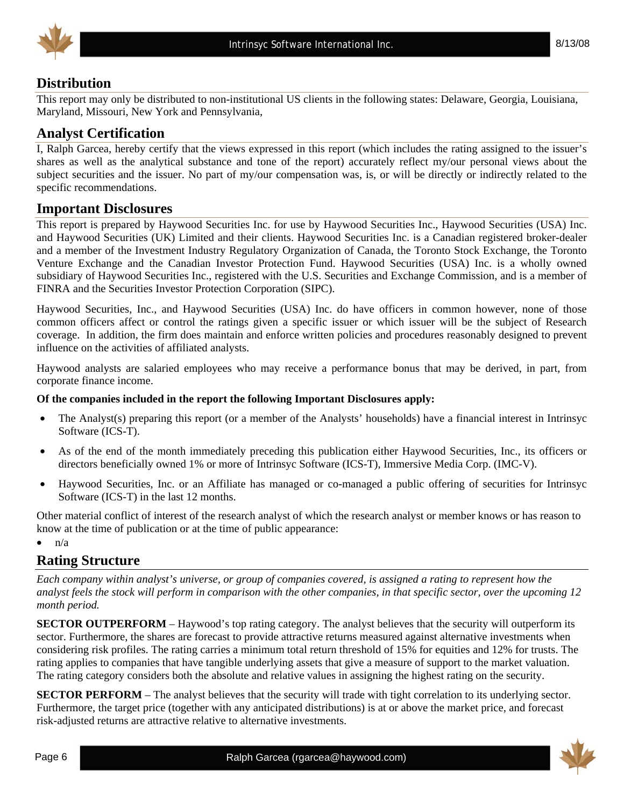



## **Distribution**

This report may only be distributed to non-institutional US clients in the following states: Delaware, Georgia, Louisiana, Maryland, Missouri, New York and Pennsylvania,

## **Analyst Certification**

I, Ralph Garcea, hereby certify that the views expressed in this report (which includes the rating assigned to the issuer's shares as well as the analytical substance and tone of the report) accurately reflect my/our personal views about the subject securities and the issuer. No part of my/our compensation was, is, or will be directly or indirectly related to the specific recommendations.

## **Important Disclosures**

This report is prepared by Haywood Securities Inc. for use by Haywood Securities Inc., Haywood Securities (USA) Inc. and Haywood Securities (UK) Limited and their clients. Haywood Securities Inc. is a Canadian registered broker-dealer and a member of the Investment Industry Regulatory Organization of Canada, the Toronto Stock Exchange, the Toronto Venture Exchange and the Canadian Investor Protection Fund. Haywood Securities (USA) Inc. is a wholly owned subsidiary of Haywood Securities Inc., registered with the U.S. Securities and Exchange Commission, and is a member of FINRA and the Securities Investor Protection Corporation (SIPC).

Haywood Securities, Inc., and Haywood Securities (USA) Inc. do have officers in common however, none of those common officers affect or control the ratings given a specific issuer or which issuer will be the subject of Research coverage. In addition, the firm does maintain and enforce written policies and procedures reasonably designed to prevent influence on the activities of affiliated analysts.

Haywood analysts are salaried employees who may receive a performance bonus that may be derived, in part, from corporate finance income.

#### **Of the companies included in the report the following Important Disclosures apply:**

- The Analyst(s) preparing this report (or a member of the Analysts' households) have a financial interest in Intrinsyc Software (ICS-T).
- As of the end of the month immediately preceding this publication either Haywood Securities, Inc., its officers or directors beneficially owned 1% or more of Intrinsyc Software (ICS-T), Immersive Media Corp. (IMC-V).
- Haywood Securities, Inc. or an Affiliate has managed or co-managed a public offering of securities for Intrinsyc Software (ICS-T) in the last 12 months.

Other material conflict of interest of the research analyst of which the research analyst or member knows or has reason to know at the time of publication or at the time of public appearance:

 $\bullet$   $n/a$ 

## **Rating Structure**

*Each company within analyst's universe, or group of companies covered, is assigned a rating to represent how the analyst feels the stock will perform in comparison with the other companies, in that specific sector, over the upcoming 12 month period.* 

**SECTOR OUTPERFORM** – Haywood's top rating category. The analyst believes that the security will outperform its sector. Furthermore, the shares are forecast to provide attractive returns measured against alternative investments when considering risk profiles. The rating carries a minimum total return threshold of 15% for equities and 12% for trusts. The rating applies to companies that have tangible underlying assets that give a measure of support to the market valuation. The rating category considers both the absolute and relative values in assigning the highest rating on the security.

**SECTOR PERFORM** – The analyst believes that the security will trade with tight correlation to its underlying sector. Furthermore, the target price (together with any anticipated distributions) is at or above the market price, and forecast risk-adjusted returns are attractive relative to alternative investments.

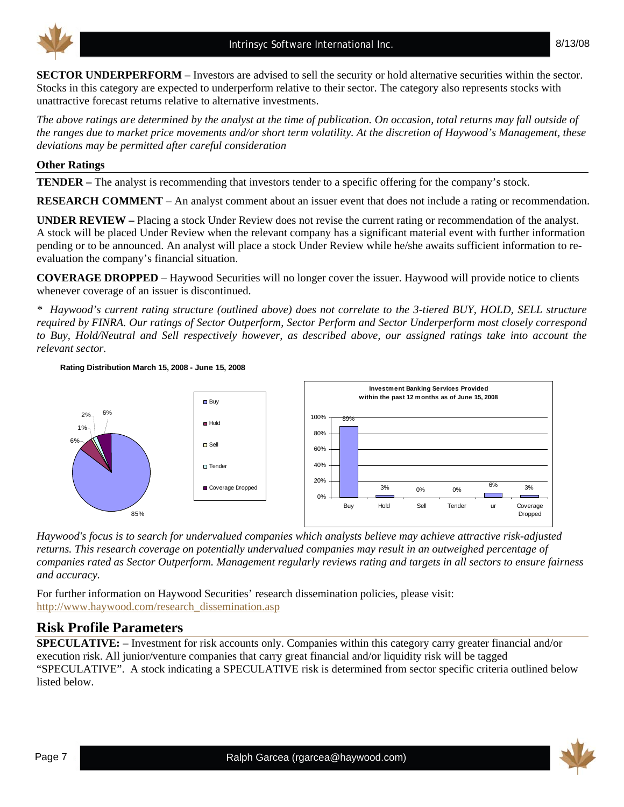

8/13/08

**SECTOR UNDERPERFORM** – Investors are advised to sell the security or hold alternative securities within the sector. Stocks in this category are expected to underperform relative to their sector. The category also represents stocks with unattractive forecast returns relative to alternative investments.

*The above ratings are determined by the analyst at the time of publication. On occasion, total returns may fall outside of the ranges due to market price movements and/or short term volatility. At the discretion of Haywood's Management, these deviations may be permitted after careful consideration* 

#### **Other Ratings**

**TENDER –** The analyst is recommending that investors tender to a specific offering for the company's stock.

**RESEARCH COMMENT** – An analyst comment about an issuer event that does not include a rating or recommendation.

**UNDER REVIEW –** Placing a stock Under Review does not revise the current rating or recommendation of the analyst. A stock will be placed Under Review when the relevant company has a significant material event with further information pending or to be announced. An analyst will place a stock Under Review while he/she awaits sufficient information to reevaluation the company's financial situation.

**COVERAGE DROPPED** – Haywood Securities will no longer cover the issuer. Haywood will provide notice to clients whenever coverage of an issuer is discontinued.

*\* Haywood's current rating structure (outlined above) does not correlate to the 3-tiered BUY, HOLD, SELL structure required by FINRA. Our ratings of Sector Outperform, Sector Perform and Sector Underperform most closely correspond to Buy, Hold/Neutral and Sell respectively however, as described above, our assigned ratings take into account the relevant sector.* 

**Rating Distribution March 15, 2008 - June 15, 2008**



*Haywood's focus is to search for undervalued companies which analysts believe may achieve attractive risk-adjusted returns. This research coverage on potentially undervalued companies may result in an outweighed percentage of companies rated as Sector Outperform. Management regularly reviews rating and targets in all sectors to ensure fairness and accuracy.* 

For further information on Haywood Securities' research dissemination policies, please visit: http://www.haywood.com/research\_dissemination.asp

### **Risk Profile Parameters**

**SPECULATIVE:** – Investment for risk accounts only. Companies within this category carry greater financial and/or execution risk. All junior/venture companies that carry great financial and/or liquidity risk will be tagged "SPECULATIVE". A stock indicating a SPECULATIVE risk is determined from sector specific criteria outlined below listed below.